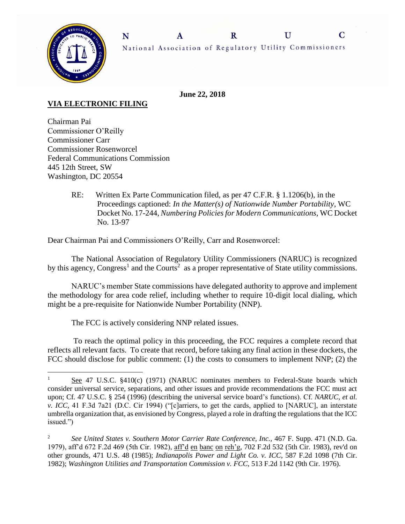

**June 22, 2018**

## **VIA ELECTRONIC FILING**

 $\overline{a}$ 

Chairman Pai Commissioner O'Reilly Commissioner Carr Commissioner Rosenworcel Federal Communications Commission 445 12th Street, SW Washington, DC 20554

> RE: Written Ex Parte Communication filed, as per 47 C.F.R. § 1.1206(b), in the Proceedings captioned: *In the Matter(s) of Nationwide Number Portability*, WC Docket No. 17-244, *Numbering Policies for Modern Communications,* WC Docket No. 13-97

Dear Chairman Pai and Commissioners O'Reilly, Carr and Rosenworcel:

The National Association of Regulatory Utility Commissioners (NARUC) is recognized by this agency, Congress<sup>1</sup> and the Courts<sup>2</sup> as a proper representative of State utility commissions.

NARUC's member State commissions have delegated authority to approve and implement the methodology for area code relief, including whether to require 10-digit local dialing, which might be a pre-requisite for Nationwide Number Portability (NNP).

The FCC is actively considering NNP related issues.

To reach the optimal policy in this proceeding, the FCC requires a complete record that reflects all relevant facts. To create that record, before taking any final action in these dockets, the FCC should disclose for public comment: (1) the costs to consumers to implement NNP; (2) the

<sup>&</sup>lt;sup>1</sup> See 47 U.S.C. §410(c) (1971) (NARUC nominates members to Federal-State boards which consider universal service, separations, and other issues and provide recommendations the FCC must act upon; Cf*.* 47 U.S.C. § 254 (1996) (describing the universal service board's functions). Cf. *NARUC, et al. v. ICC,* 41 F.3d 7a21 (D.C. Cir 1994) ("[c]arriers, to get the cards, applied to [NARUC], an interstate umbrella organization that, as envisioned by Congress, played a role in drafting the regulations that the ICC issued.")

<sup>&</sup>lt;sup>2</sup> See United States v. Southern Motor Carrier Rate Conference, Inc., 467 F. Supp. 471 (N.D. Ga. 1979), aff'd 672 F.2d 469 (5th Cir. 1982), aff'd en banc on reh'g, 702 F.2d 532 (5th Cir. 1983), rev'd on other grounds*,* 471 U.S. 48 (1985); *Indianapolis Power and Light Co. v. ICC*, 587 F.2d 1098 (7th Cir. 1982); *Washington Utilities and Transportation Commission v. FCC,* 513 F.2d 1142 (9th Cir. 1976).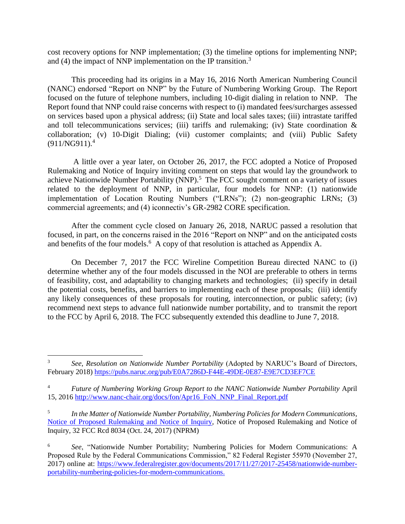cost recovery options for NNP implementation; (3) the timeline options for implementing NNP; and (4) the impact of NNP implementation on the IP transition.<sup>3</sup>

This proceeding had its origins in a May 16, 2016 North American Numbering Council (NANC) endorsed "Report on NNP" by the Future of Numbering Working Group. The Report focused on the future of telephone numbers, including 10-digit dialing in relation to NNP. The Report found that NNP could raise concerns with respect to (i) mandated fees/surcharges assessed on services based upon a physical address; (ii) State and local sales taxes; (iii) intrastate tariffed and toll telecommunications services; (iii) tariffs and rulemaking; (iv) State coordination  $\&$ collaboration; (v) 10-Digit Dialing; (vii) customer complaints; and (viii) Public Safety (911/NG911). 4

A little over a year later, on October 26, 2017, the FCC adopted a Notice of Proposed Rulemaking and Notice of Inquiry inviting comment on steps that would lay the groundwork to achieve Nationwide Number Portability (NNP).<sup>5</sup> The FCC sought comment on a variety of issues related to the deployment of NNP, in particular, four models for NNP: (1) nationwide implementation of Location Routing Numbers ("LRNs"); (2) non-geographic LRNs; (3) commercial agreements; and (4) iconnectiv's GR-2982 CORE specification.

After the comment cycle closed on January 26, 2018, NARUC passed a resolution that focused, in part, on the concerns raised in the 2016 "Report on NNP" and on the anticipated costs and benefits of the four models.<sup>6</sup> A copy of that resolution is attached as Appendix A.

On December 7, 2017 the FCC Wireline Competition Bureau directed NANC to (i) determine whether any of the four models discussed in the NOI are preferable to others in terms of feasibility, cost, and adaptability to changing markets and technologies; (ii) specify in detail the potential costs, benefits, and barriers to implementing each of these proposals; (iii) identify any likely consequences of these proposals for routing, interconnection, or public safety; (iv) recommend next steps to advance full nationwide number portability, and to transmit the report to the FCC by April 6, 2018. The FCC subsequently extended this deadline to June 7, 2018.

 $\overline{a}$ 

<sup>3</sup> *See*, *Resolution on Nationwide Number Portability* (Adopted by NARUC's Board of Directors, February 2018) <https://pubs.naruc.org/pub/E0A7286D-F44E-49DE-0E87-E9E7CD3EF7CE>

<sup>4</sup> *Future of Numbering Working Group Report to the NANC Nationwide Number Portability* April 15, 2016 [http://www.nanc-chair.org/docs/fon/Apr16\\_FoN\\_NNP\\_Final\\_Report.pdf](http://www.nanc-chair.org/docs/fon/Apr16_FoN_NNP_Final_Report.pdf)

<sup>5</sup> *In the Matter of Nationwide Number Portability, Numbering Policies for Modern Communications*, [Notice of Proposed Rulemaking and Notice of Inquiry,](https://apps.fcc.gov/edocs_public/attachmatch/FCC-17-133A1.docx) Notice of Proposed Rulemaking and Notice of Inquiry, 32 FCC Rcd 8034 (Oct. 24, 2017) (NPRM)

<sup>6</sup> *See*, "Nationwide Number Portability; Numbering Policies for Modern Communications: A Proposed Rule by the Federal Communications Commission," 82 Federal Register 55970 (November 27, 2017) online at: [https://www.federalregister.gov/documents/2017/11/27/2017-25458/nationwide-number](https://www.federalregister.gov/documents/2017/11/27/2017-25458/nationwide-number-portability-numbering-policies-for-modern-communications)[portability-numbering-policies-for-modern-communications.](https://www.federalregister.gov/documents/2017/11/27/2017-25458/nationwide-number-portability-numbering-policies-for-modern-communications)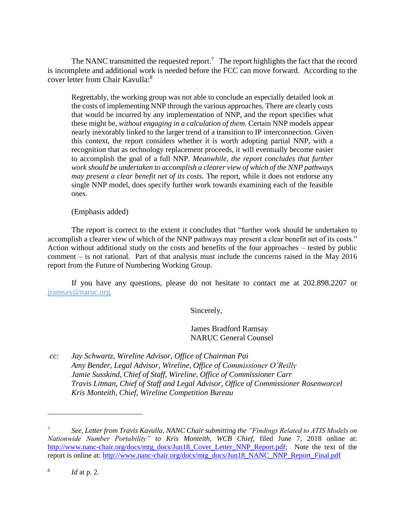The NANC transmitted the requested report.<sup>7</sup> The report highlights the fact that the record is incomplete and additional work is needed before the FCC can move forward. According to the cover letter from Chair Kavulla:<sup>8</sup>

Regrettably, the working group was not able to conclude an especially detailed look at the costs of implementing NNP through the various approaches. There are clearly costs that would be incurred by any implementation of NNP, and the report specifies what these might be, *without engaging in a calculation of them*. Certain NNP models appear nearly inexorably linked to the larger trend of a transition to IP interconnection. Given this context, the report considers whether it is worth adopting partial NNP, with a recognition that as technology replacement proceeds, it will eventually become easier to accomplish the goal of a full NNP. *Meanwhile, the report concludes that further work should be undertaken to accomplish a clearer view of which of the NNP pathways may present a clear benefit net of its costs.* The report, while it does not endorse any single NNP model, does specify further work towards examining each of the feasible ones.

(Emphasis added)

The report is correct to the extent it concludes that "further work should be undertaken to accomplish a clearer view of which of the NNP pathways may present a clear benefit net of its costs." Action without additional study on the costs and benefits of the four approaches – tested by public comment – is not rational. Part of that analysis must include the concerns raised in the May 2016 report from the Future of Numbering Working Group.

If you have any questions, please do not hesitate to contact me at 202.898.2207 or [jramsay@naruc.org.](mailto:jramsay@naruc.org)

Sincerely,

James Bradford Ramsay NARUC General Counsel

*cc: Jay Schwartz, Wireline Advisor, Office of Chairman Pai Amy Bender, Legal Advisor, Wireline, Office of Commissioner O'Reilly Jamie Susskind, Chief of Staff, Wireline, Office of Commissioner Carr Travis Litman, Chief of Staff and Legal Advisor, Office of Commissioner Rosenworcel Kris Monteith, Chief, Wireline Competition Bureau*

 $\overline{a}$ 

<sup>7</sup> *See*, *Letter from Travis Kavulla, NANC Chair submitting the "Findings Related to ATIS Models on Nationwide Number Portability" to Kris Monteith, WCB Chief*, filed June 7, 2018 online at: [http://www.nanc-chair.org/docs/mtg\\_docs/Jun18\\_Cover\\_Letter\\_NNP\\_Report.pdf;](http://www.nanc-chair.org/docs/mtg_docs/Jun18_Cover_Letter_NNP_Report.pdf) Note the text of the report is online at: [http://www.nanc-chair.org/docs/mtg\\_docs/Jun18\\_NANC\\_NNP\\_Report\\_Final.pdf](http://www.nanc-chair.org/docs/mtg_docs/Jun18_NANC_NNP_Report_Final.pdf)

<sup>8</sup> *Id* at p. 2.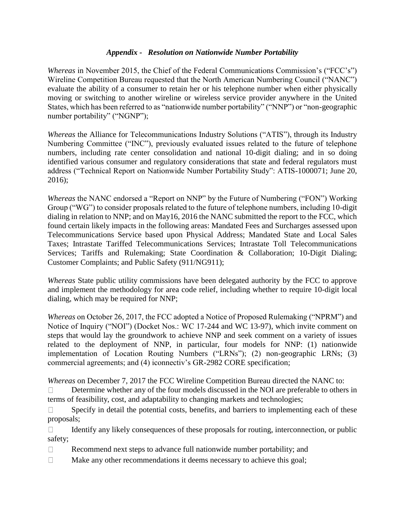## *Appendix - Resolution on Nationwide Number Portability*

*Whereas* in November 2015, the Chief of the Federal Communications Commission's ("FCC's") Wireline Competition Bureau requested that the North American Numbering Council ("NANC") evaluate the ability of a consumer to retain her or his telephone number when either physically moving or switching to another wireline or wireless service provider anywhere in the United States, which has been referred to as "nationwide number portability" ("NNP") or "non-geographic number portability" ("NGNP");

*Whereas* the Alliance for Telecommunications Industry Solutions ("ATIS"), through its Industry Numbering Committee ("INC"), previously evaluated issues related to the future of telephone numbers, including rate center consolidation and national 10-digit dialing; and in so doing identified various consumer and regulatory considerations that state and federal regulators must address ("Technical Report on Nationwide Number Portability Study": ATIS-1000071; June 20, 2016);

*Whereas* the NANC endorsed a "Report on NNP" by the Future of Numbering ("FON") Working Group ("WG") to consider proposals related to the future of telephone numbers, including 10-digit dialing in relation to NNP; and on May16, 2016 the NANC submitted the report to the FCC, which found certain likely impacts in the following areas: Mandated Fees and Surcharges assessed upon Telecommunications Service based upon Physical Address; Mandated State and Local Sales Taxes; Intrastate Tariffed Telecommunications Services; Intrastate Toll Telecommunications Services; Tariffs and Rulemaking; State Coordination & Collaboration; 10-Digit Dialing; Customer Complaints; and Public Safety (911/NG911);

*Whereas* State public utility commissions have been delegated authority by the FCC to approve and implement the methodology for area code relief, including whether to require 10-digit local dialing, which may be required for NNP;

*Whereas* on October 26, 2017, the FCC adopted a Notice of Proposed Rulemaking ("NPRM") and Notice of Inquiry ("NOI") (Docket Nos.: WC 17-244 and WC 13-97), which invite comment on steps that would lay the groundwork to achieve NNP and seek comment on a variety of issues related to the deployment of NNP, in particular, four models for NNP: (1) nationwide implementation of Location Routing Numbers ("LRNs"); (2) non-geographic LRNs; (3) commercial agreements; and (4) iconnectiv's GR-2982 CORE specification;

*Whereas* on December 7, 2017 the FCC Wireline Competition Bureau directed the NANC to:

Determine whether any of the four models discussed in the NOI are preferable to others in  $\Box$ terms of feasibility, cost, and adaptability to changing markets and technologies;

Specify in detail the potential costs, benefits, and barriers to implementing each of these  $\Box$ proposals;

Identify any likely consequences of these proposals for routing, interconnection, or public  $\Box$ safety;

- $\Box$ Recommend next steps to advance full nationwide number portability; and
- Make any other recommendations it deems necessary to achieve this goal;  $\Box$